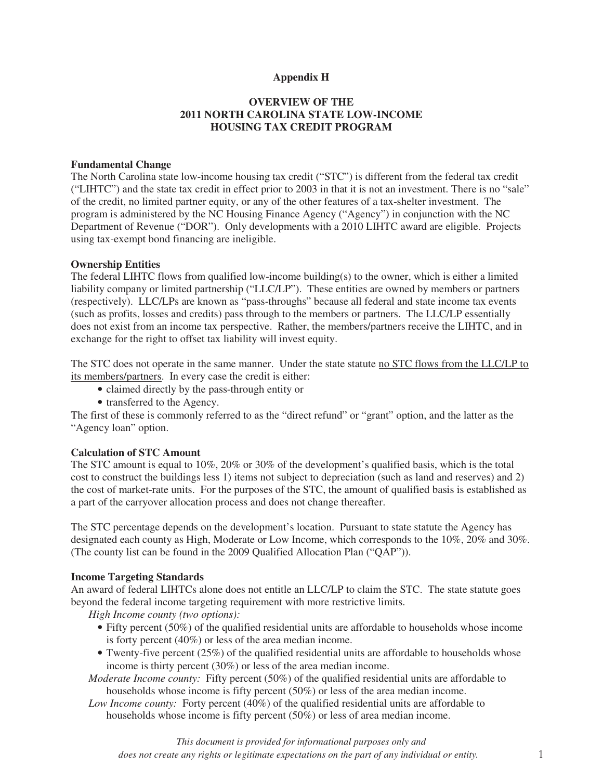## **Appendix H**

# **OVERVIEW OF THE 2011 NORTH CAROLINA STATE LOW-INCOME HOUSING TAX CREDIT PROGRAM**

#### **Fundamental Change**

The North Carolina state low-income housing tax credit ("STC") is different from the federal tax credit ("LIHTC") and the state tax credit in effect prior to 2003 in that it is not an investment. There is no "sale" of the credit, no limited partner equity, or any of the other features of a tax-shelter investment. The program is administered by the NC Housing Finance Agency ("Agency") in conjunction with the NC Department of Revenue ("DOR"). Only developments with a 2010 LIHTC award are eligible. Projects using tax-exempt bond financing are ineligible.

#### **Ownership Entities**

The federal LIHTC flows from qualified low-income building(s) to the owner, which is either a limited liability company or limited partnership ("LLC/LP"). These entities are owned by members or partners (respectively). LLC/LPs are known as "pass-throughs" because all federal and state income tax events (such as profits, losses and credits) pass through to the members or partners. The LLC/LP essentially does not exist from an income tax perspective. Rather, the members/partners receive the LIHTC, and in exchange for the right to offset tax liability will invest equity.

The STC does not operate in the same manner. Under the state statute no STC flows from the LLC/LP to its members/partners. In every case the credit is either:

- claimed directly by the pass-through entity or
- transferred to the Agency.

The first of these is commonly referred to as the "direct refund" or "grant" option, and the latter as the "Agency loan" option.

#### **Calculation of STC Amount**

The STC amount is equal to 10%, 20% or 30% of the development's qualified basis, which is the total cost to construct the buildings less 1) items not subject to depreciation (such as land and reserves) and 2) the cost of market-rate units. For the purposes of the STC, the amount of qualified basis is established as a part of the carryover allocation process and does not change thereafter.

The STC percentage depends on the development's location. Pursuant to state statute the Agency has designated each county as High, Moderate or Low Income, which corresponds to the 10%, 20% and 30%. (The county list can be found in the 2009 Qualified Allocation Plan ("QAP")).

#### **Income Targeting Standards**

An award of federal LIHTCs alone does not entitle an LLC/LP to claim the STC. The state statute goes beyond the federal income targeting requirement with more restrictive limits.

*High Income county (two options):* 

- Fifty percent (50%) of the qualified residential units are affordable to households whose income is forty percent (40%) or less of the area median income.
- Twenty-five percent (25%) of the qualified residential units are affordable to households whose income is thirty percent (30%) or less of the area median income.

*Moderate Income county:* Fifty percent (50%) of the qualified residential units are affordable to households whose income is fifty percent (50%) or less of the area median income.

*Low Income county:* Forty percent (40%) of the qualified residential units are affordable to households whose income is fifty percent (50%) or less of area median income.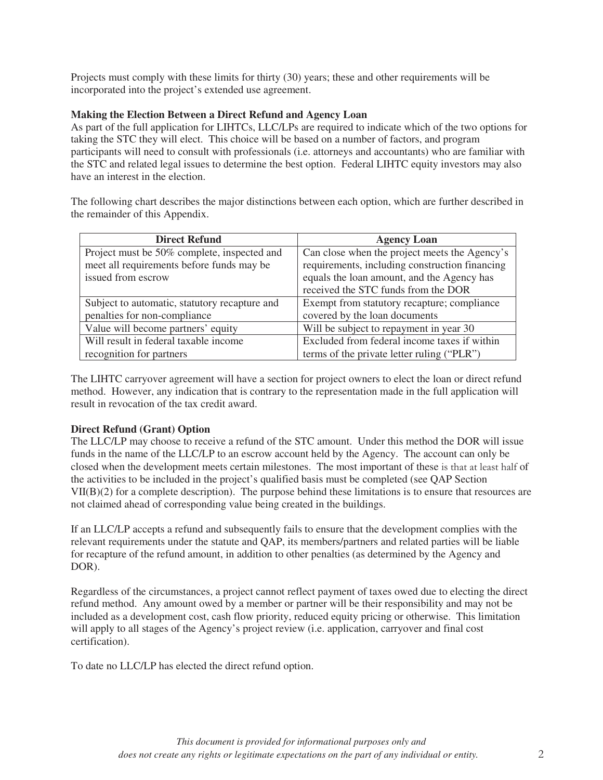Projects must comply with these limits for thirty (30) years; these and other requirements will be incorporated into the project's extended use agreement.

# **Making the Election Between a Direct Refund and Agency Loan**

As part of the full application for LIHTCs, LLC/LPs are required to indicate which of the two options for taking the STC they will elect. This choice will be based on a number of factors, and program participants will need to consult with professionals (i.e. attorneys and accountants) who are familiar with the STC and related legal issues to determine the best option. Federal LIHTC equity investors may also have an interest in the election.

The following chart describes the major distinctions between each option, which are further described in the remainder of this Appendix.

| <b>Direct Refund</b>                          | <b>Agency Loan</b>                             |
|-----------------------------------------------|------------------------------------------------|
| Project must be 50% complete, inspected and   | Can close when the project meets the Agency's  |
| meet all requirements before funds may be     | requirements, including construction financing |
| issued from escrow                            | equals the loan amount, and the Agency has     |
|                                               | received the STC funds from the DOR            |
| Subject to automatic, statutory recapture and | Exempt from statutory recapture; compliance    |
| penalties for non-compliance                  | covered by the loan documents                  |
| Value will become partners' equity            | Will be subject to repayment in year 30        |
| Will result in federal taxable income         | Excluded from federal income taxes if within   |
| recognition for partners                      | terms of the private letter ruling ("PLR")     |

The LIHTC carryover agreement will have a section for project owners to elect the loan or direct refund method. However, any indication that is contrary to the representation made in the full application will result in revocation of the tax credit award.

## **Direct Refund (Grant) Option**

The LLC/LP may choose to receive a refund of the STC amount. Under this method the DOR will issue funds in the name of the LLC/LP to an escrow account held by the Agency. The account can only be closed when the development meets certain milestones. The most important of these is that at least half of the activities to be included in the project's qualified basis must be completed (see QAP Section VII(B)(2) for a complete description). The purpose behind these limitations is to ensure that resources are not claimed ahead of corresponding value being created in the buildings.

If an LLC/LP accepts a refund and subsequently fails to ensure that the development complies with the relevant requirements under the statute and QAP, its members/partners and related parties will be liable for recapture of the refund amount, in addition to other penalties (as determined by the Agency and DOR).

Regardless of the circumstances, a project cannot reflect payment of taxes owed due to electing the direct refund method. Any amount owed by a member or partner will be their responsibility and may not be included as a development cost, cash flow priority, reduced equity pricing or otherwise. This limitation will apply to all stages of the Agency's project review (i.e. application, carryover and final cost certification).

To date no LLC/LP has elected the direct refund option.